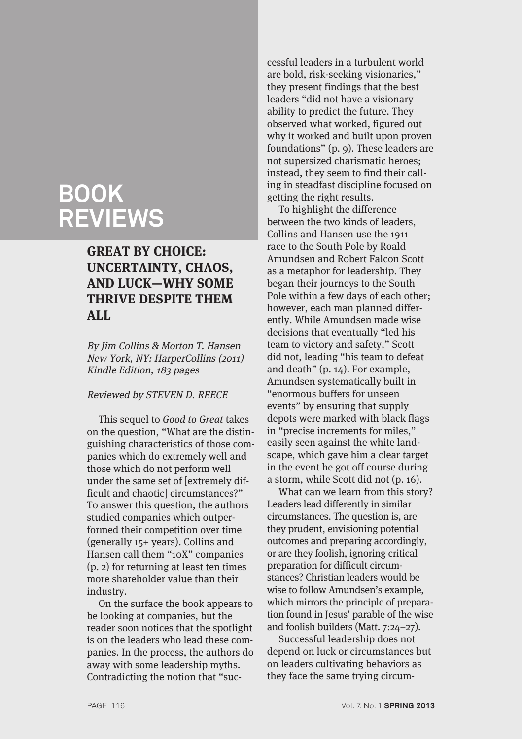# **BOOK REVIEWS**

# **GREAT BY CHOICE: UNCERTAINTY, CHAOS, AND LUCK—WHY SOME THRIVE DESPITE THEM ALL**

By Jim Collins & Morton T. Hansen New York, NY: HarperCollins (2011) Kindle Edition, 183 pages

#### Reviewed by STEVEN D. REECE

This sequel to Good to Great takes on the question, "What are the distinguishing characteristics of those companies which do extremely well and those which do not perform well under the same set of [extremely difficult and chaotic] circumstances?" To answer this question, the authors studied companies which outperformed their competition over time (generally 15+ years). Collins and Hansen call them "10X" companies (p. 2) for returning at least ten times more shareholder value than their industry.

On the surface the book appears to be looking at companies, but the reader soon notices that the spotlight is on the leaders who lead these companies. In the process, the authors do away with some leadership myths. Contradicting the notion that "suc-

cessful leaders in a turbulent world are bold, risk-seeking visionaries," they present findings that the best leaders "did not have a visionary ability to predict the future. They observed what worked, figured out why it worked and built upon proven foundations" (p. 9). These leaders are not supersized charismatic heroes; instead, they seem to find their calling in steadfast discipline focused on getting the right results.

To highlight the difference between the two kinds of leaders, Collins and Hansen use the 1911 race to the South Pole by Roald Amundsen and Robert Falcon Scott as a metaphor for leadership. They began their journeys to the South Pole within a few days of each other; however, each man planned differently. While Amundsen made wise decisions that eventually "led his team to victory and safety," Scott did not, leading "his team to defeat and death" (p. 14). For example, Amundsen systematically built in "enormous buffers for unseen events" by ensuring that supply depots were marked with black flags in "precise increments for miles," easily seen against the white landscape, which gave him a clear target in the event he got off course during a storm, while Scott did not (p. 16).

What can we learn from this story? Leaders lead differently in similar circumstances. The question is, are they prudent, envisioning potential outcomes and preparing accordingly, or are they foolish, ignoring critical preparation for difficult circumstances? Christian leaders would be wise to follow Amundsen's example, which mirrors the principle of preparation found in Jesus' parable of the wise and foolish builders (Matt. 7:24–27).

Successful leadership does not depend on luck or circumstances but on leaders cultivating behaviors as they face the same trying circum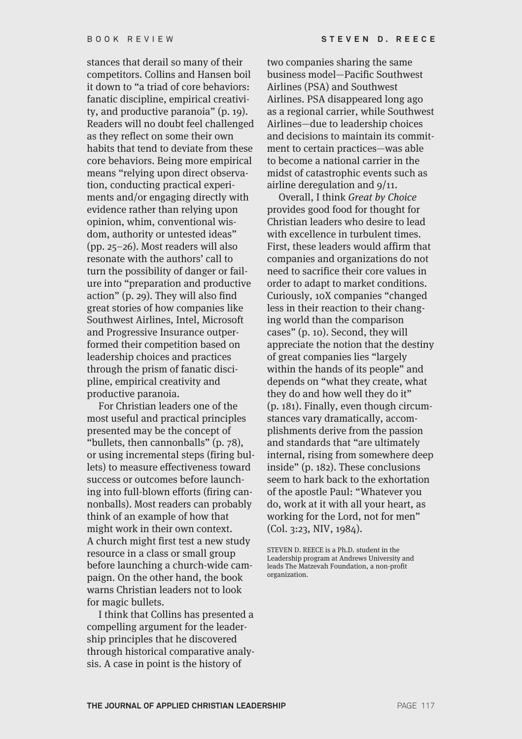stances that derail so many of their competitors. Collins and Hansen boil it down to "a triad of core behaviors: fanatic discipline, empirical creativity, and productive paranoia" (p. 19). Readers will no doubt feel challenged as they reflect on some their own habits that tend to deviate from these core behaviors. Being more empirical means "relying upon direct observation, conducting practical experiments and/or engaging directly with evidence rather than relying upon opinion, whim, conventional wisdom, authority or untested ideas" (pp. 25–26). Most readers will also resonate with the authors' call to turn the possibility of danger or failure into "preparation and productive action" (p. 29). They will also find great stories of how companies like Southwest Airlines, Intel, Microsoft and Progressive Insurance outperformed their competition based on leadership choices and practices through the prism of fanatic discipline, empirical creativity and productive paranoia.

For Christian leaders one of the most useful and practical principles presented may be the concept of "bullets, then cannonballs" (p. 78), or using incremental steps (firing bullets) to measure effectiveness toward success or outcomes before launching into full-blown efforts (firing cannonballs). Most readers can probably think of an example of how that might work in their own context. A church might first test a new study resource in a class or small group before launching a church-wide campaign. On the other hand, the book warns Christian leaders not to look for magic bullets.

I think that Collins has presented a compelling argument for the leadership principles that he discovered through historical comparative analysis. A case in point is the history of

two companies sharing the same business model—Pacific Southwest Airlines (PSA) and Southwest Airlines. PSA disappeared long ago as a regional carrier, while Southwest Airlines—due to leadership choices and decisions to maintain its commitment to certain practices—was able to become a national carrier in the midst of catastrophic events such as airline deregulation and 9/11.

Overall, I think Great by Choice provides good food for thought for Christian leaders who desire to lead with excellence in turbulent times. First, these leaders would affirm that companies and organizations do not need to sacrifice their core values in order to adapt to market conditions. Curiously, 10X companies "changed less in their reaction to their changing world than the comparison cases" (p. 10). Second, they will appreciate the notion that the destiny of great companies lies "largely within the hands of its people" and depends on "what they create, what they do and how well they do it" (p. 181). Finally, even though circumstances vary dramatically, accomplishments derive from the passion and standards that "are ultimately internal, rising from somewhere deep inside" (p. 182). These conclusions seem to hark back to the exhortation of the apostle Paul: "Whatever you do, work at it with all your heart, as working for the Lord, not for men" (Col. 3:23, NIV, 1984).

STEVEN D. REECE is a Ph.D. student in the Leadership program at Andrews University and leads The Matzevah Foundation, a non-profit organization.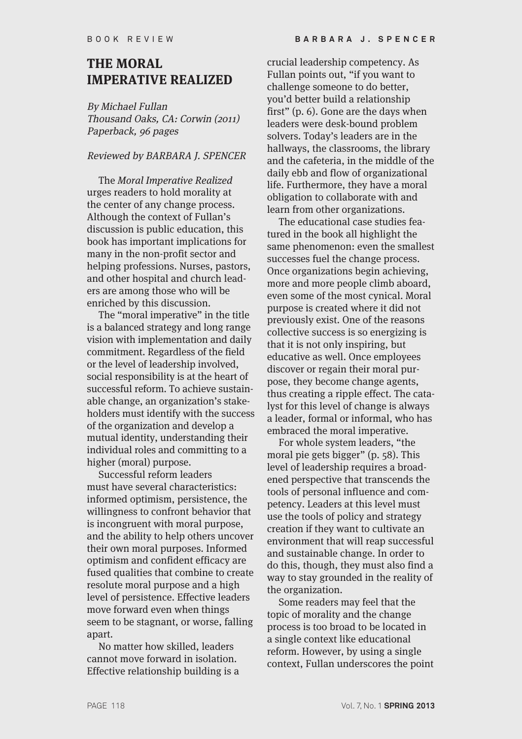#### **THE MORAL IMPERATIVE REALIZED**

By Michael Fullan Thousand Oaks, CA: Corwin (2011) Paperback, 96 pages

#### Reviewed by BARBARA J. SPENCER

The Moral Imperative Realized urges readers to hold morality at the center of any change process. Although the context of Fullan's discussion is public education, this book has important implications for many in the non-profit sector and helping professions. Nurses, pastors, and other hospital and church leaders are among those who will be enriched by this discussion.

The "moral imperative" in the title is a balanced strategy and long range vision with implementation and daily commitment. Regardless of the field or the level of leadership involved, social responsibility is at the heart of successful reform. To achieve sustainable change, an organization's stakeholders must identify with the success of the organization and develop a mutual identity, understanding their individual roles and committing to a higher (moral) purpose.

Successful reform leaders must have several characteristics: informed optimism, persistence, the willingness to confront behavior that is incongruent with moral purpose, and the ability to help others uncover their own moral purposes. Informed optimism and confident efficacy are fused qualities that combine to create resolute moral purpose and a high level of persistence. Effective leaders move forward even when things seem to be stagnant, or worse, falling apart.

No matter how skilled, leaders cannot move forward in isolation. Effective relationship building is a

crucial leadership competency. As Fullan points out, "if you want to challenge someone to do better, you'd better build a relationship first" (p. 6). Gone are the days when leaders were desk-bound problem solvers. Today's leaders are in the hallways, the classrooms, the library and the cafeteria, in the middle of the daily ebb and flow of organizational life. Furthermore, they have a moral obligation to collaborate with and learn from other organizations.

The educational case studies featured in the book all highlight the same phenomenon: even the smallest successes fuel the change process. Once organizations begin achieving, more and more people climb aboard, even some of the most cynical. Moral purpose is created where it did not previously exist. One of the reasons collective success is so energizing is that it is not only inspiring, but educative as well. Once employees discover or regain their moral purpose, they become change agents, thus creating a ripple effect. The catalyst for this level of change is always a leader, formal or informal, who has embraced the moral imperative.

For whole system leaders, "the moral pie gets bigger" (p. 58). This level of leadership requires a broadened perspective that transcends the tools of personal influence and competency. Leaders at this level must use the tools of policy and strategy creation if they want to cultivate an environment that will reap successful and sustainable change. In order to do this, though, they must also find a way to stay grounded in the reality of the organization.

Some readers may feel that the topic of morality and the change process is too broad to be located in a single context like educational reform. However, by using a single context, Fullan underscores the point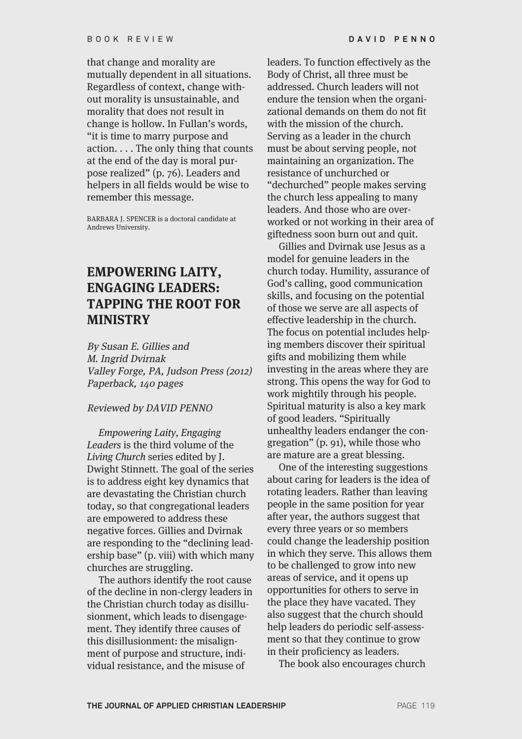that change and morality are mutually dependent in all situations. Regardless of context, change without morality is unsustainable, and morality that does not result in change is hollow. In Fullan's words, "it is time to marry purpose and action. . . . The only thing that counts at the end of the day is moral purpose realized" (p. 76). Leaders and helpers in all fields would be wise to remember this message.

BARBARA J. SPENCER is a doctoral candidate at Andrews University.

## **EMPOWERING LAITY, ENGAGING LEADERS: TAPPING THE ROOT FOR MINISTRY**

By Susan E. Gillies and M. Ingrid Dvirnak Valley Forge, PA, Judson Press (2012) Paperback, 140 pages

#### Reviewed by DAVID PENNO

Empowering Laity, Engaging Leaders is the third volume of the Living Church series edited by J. Dwight Stinnett. The goal of the series is to address eight key dynamics that are devastating the Christian church today, so that congregational leaders are empowered to address these negative forces. Gillies and Dvirnak are responding to the "declining leadership base" (p. viii) with which many churches are struggling.

The authors identify the root cause of the decline in non-clergy leaders in the Christian church today as disillusionment, which leads to disengagement. They identify three causes of this disillusionment: the misalignment of purpose and structure, individual resistance, and the misuse of

leaders. To function effectively as the Body of Christ, all three must be addressed. Church leaders will not endure the tension when the organizational demands on them do not fit with the mission of the church. Serving as a leader in the church must be about serving people, not maintaining an organization. The resistance of unchurched or "dechurched" people makes serving the church less appealing to many leaders. And those who are overworked or not working in their area of giftedness soon burn out and quit.

Gillies and Dvirnak use Jesus as a model for genuine leaders in the church today. Humility, assurance of God's calling, good communication skills, and focusing on the potential of those we serve are all aspects of effective leadership in the church. The focus on potential includes helping members discover their spiritual gifts and mobilizing them while investing in the areas where they are strong. This opens the way for God to work mightily through his people. Spiritual maturity is also a key mark of good leaders. "Spiritually unhealthy leaders endanger the congregation" (p. 91), while those who are mature are a great blessing.

One of the interesting suggestions about caring for leaders is the idea of rotating leaders. Rather than leaving people in the same position for year after year, the authors suggest that every three years or so members could change the leadership position in which they serve. This allows them to be challenged to grow into new areas of service, and it opens up opportunities for others to serve in the place they have vacated. They also suggest that the church should help leaders do periodic self-assessment so that they continue to grow in their proficiency as leaders.

The book also encourages church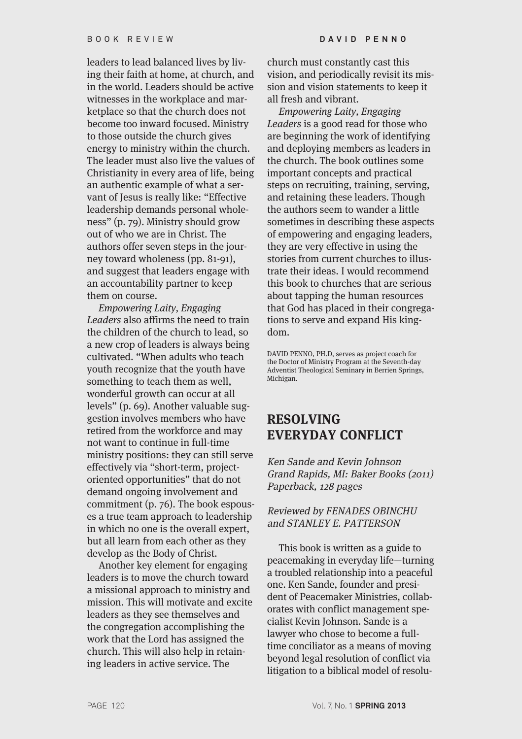leaders to lead balanced lives by living their faith at home, at church, and in the world. Leaders should be active witnesses in the workplace and marketplace so that the church does not become too inward focused. Ministry to those outside the church gives energy to ministry within the church. The leader must also live the values of Christianity in every area of life, being an authentic example of what a servant of Jesus is really like: "Effective leadership demands personal wholeness" (p. 79). Ministry should grow out of who we are in Christ. The authors offer seven steps in the journey toward wholeness (pp. 81-91), and suggest that leaders engage with an accountability partner to keep them on course.

Empowering Laity, Engaging Leaders also affirms the need to train the children of the church to lead, so a new crop of leaders is always being cultivated. "When adults who teach youth recognize that the youth have something to teach them as well, wonderful growth can occur at all levels" (p. 69). Another valuable suggestion involves members who have retired from the workforce and may not want to continue in full-time ministry positions: they can still serve effectively via "short-term, projectoriented opportunities" that do not demand ongoing involvement and commitment (p. 76). The book espouses a true team approach to leadership in which no one is the overall expert, but all learn from each other as they develop as the Body of Christ.

Another key element for engaging leaders is to move the church toward a missional approach to ministry and mission. This will motivate and excite leaders as they see themselves and the congregation accomplishing the work that the Lord has assigned the church. This will also help in retaining leaders in active service. The

church must constantly cast this vision, and periodically revisit its mission and vision statements to keep it all fresh and vibrant.

Empowering Laity, Engaging Leaders is a good read for those who are beginning the work of identifying and deploying members as leaders in the church. The book outlines some important concepts and practical steps on recruiting, training, serving, and retaining these leaders. Though the authors seem to wander a little sometimes in describing these aspects of empowering and engaging leaders, they are very effective in using the stories from current churches to illustrate their ideas. I would recommend this book to churches that are serious about tapping the human resources that God has placed in their congregations to serve and expand His kingdom.

DAVID PENNO, PH.D, serves as project coach for the Doctor of Ministry Program at the Seventh-day Adventist Theological Seminary in Berrien Springs, Michigan.

## **RESOLVING EVERYDAY CONFLICT**

Ken Sande and Kevin Johnson Grand Rapids, MI: Baker Books (2011) Paperback, 128 pages

#### Reviewed by FENADES OBINCHU and STANLEY E. PATTERSON

This book is written as a guide to peacemaking in everyday life—turning a troubled relationship into a peaceful one. Ken Sande, founder and president of Peacemaker Ministries, collaborates with conflict management specialist Kevin Johnson. Sande is a lawyer who chose to become a fulltime conciliator as a means of moving beyond legal resolution of conflict via litigation to a biblical model of resolu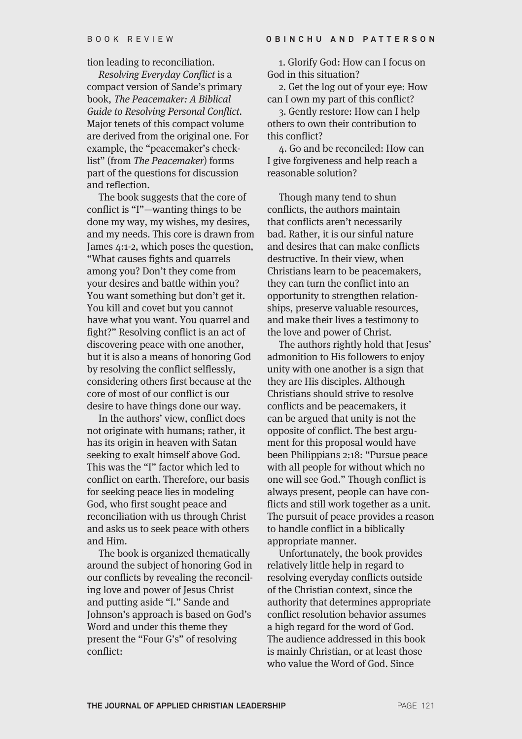tion leading to reconciliation.

Resolving Everyday Conflict is a compact version of Sande's primary book, The Peacemaker: A Biblical Guide to Resolving Personal Conflict. Major tenets of this compact volume are derived from the original one. For example, the "peacemaker's checklist" (from The Peacemaker) forms part of the questions for discussion and reflection.

The book suggests that the core of conflict is "I"—wanting things to be done my way, my wishes, my desires, and my needs. This core is drawn from James 4:1-2, which poses the question, "What causes fights and quarrels among you? Don't they come from your desires and battle within you? You want something but don't get it. You kill and covet but you cannot have what you want. You quarrel and fight?" Resolving conflict is an act of discovering peace with one another, but it is also a means of honoring God by resolving the conflict selflessly, considering others first because at the core of most of our conflict is our desire to have things done our way.

In the authors' view, conflict does not originate with humans; rather, it has its origin in heaven with Satan seeking to exalt himself above God. This was the "I" factor which led to conflict on earth. Therefore, our basis for seeking peace lies in modeling God, who first sought peace and reconciliation with us through Christ and asks us to seek peace with others and Him.

The book is organized thematically around the subject of honoring God in our conflicts by revealing the reconciling love and power of Jesus Christ and putting aside "I." Sande and Johnson's approach is based on God's Word and under this theme they present the "Four G's" of resolving conflict:

1. Glorify God: How can I focus on God in this situation?

2. Get the log out of your eye: How can I own my part of this conflict?

3. Gently restore: How can I help others to own their contribution to this conflict?

4. Go and be reconciled: How can I give forgiveness and help reach a reasonable solution?

Though many tend to shun conflicts, the authors maintain that conflicts aren't necessarily bad. Rather, it is our sinful nature and desires that can make conflicts destructive. In their view, when Christians learn to be peacemakers, they can turn the conflict into an opportunity to strengthen relationships, preserve valuable resources, and make their lives a testimony to the love and power of Christ.

The authors rightly hold that Jesus' admonition to His followers to enjoy unity with one another is a sign that they are His disciples. Although Christians should strive to resolve conflicts and be peacemakers, it can be argued that unity is not the opposite of conflict. The best argument for this proposal would have been Philippians 2:18: "Pursue peace with all people for without which no one will see God." Though conflict is always present, people can have conflicts and still work together as a unit. The pursuit of peace provides a reason to handle conflict in a biblically appropriate manner.

Unfortunately, the book provides relatively little help in regard to resolving everyday conflicts outside of the Christian context, since the authority that determines appropriate conflict resolution behavior assumes a high regard for the word of God. The audience addressed in this book is mainly Christian, or at least those who value the Word of God. Since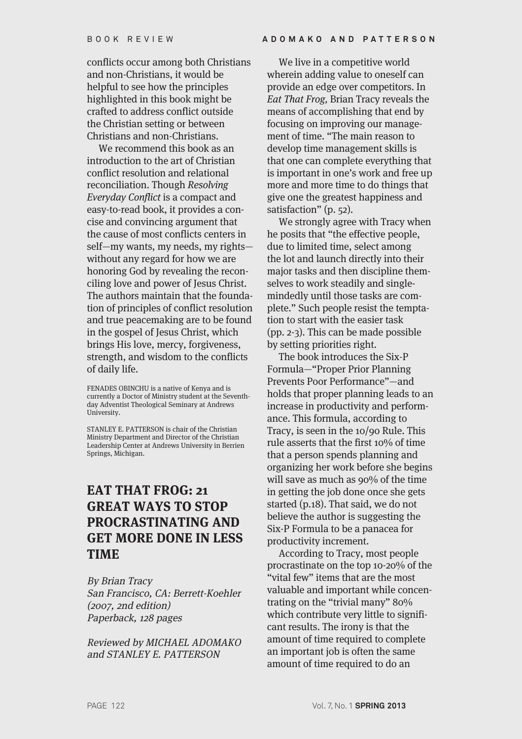conflicts occur among both Christians and non-Christians, it would be helpful to see how the principles highlighted in this book might be crafted to address conflict outside the Christian setting or between Christians and non-Christians.

We recommend this book as an introduction to the art of Christian conflict resolution and relational reconciliation. Though Resolving Everyday Conflict is a compact and easy-to-read book, it provides a concise and convincing argument that the cause of most conflicts centers in self—my wants, my needs, my rights without any regard for how we are honoring God by revealing the reconciling love and power of Jesus Christ. The authors maintain that the foundation of principles of conflict resolution and true peacemaking are to be found in the gospel of Jesus Christ, which brings His love, mercy, forgiveness, strength, and wisdom to the conflicts of daily life.

FENADES OBINCHU is a native of Kenya and is currently a Doctor of Ministry student at the Seventhday Adventist Theological Seminary at Andrews University.

STANLEY E. PATTERSON is chair of the Christian Ministry Department and Director of the Christian Leadership Center at Andrews University in Berrien Springs, Michigan.

## **EAT THAT FROG: 21 GREAT WAYS TO STOP PROCRASTINATING AND GET MORE DONE IN LESS TIME**

By Brian Tracy San Francisco, CA: Berrett-Koehler (2007, 2nd edition) Paperback, 128 pages

Reviewed by MICHAEL ADOMAKO and STANLEY E. PATTERSON

We live in a competitive world wherein adding value to oneself can provide an edge over competitors. In Eat That Frog, Brian Tracy reveals the means of accomplishing that end by focusing on improving our management of time. "The main reason to develop time management skills is that one can complete everything that is important in one's work and free up more and more time to do things that give one the greatest happiness and satisfaction" (p. 52).

We strongly agree with Tracy when he posits that "the effective people, due to limited time, select among the lot and launch directly into their major tasks and then discipline themselves to work steadily and singlemindedly until those tasks are complete." Such people resist the temptation to start with the easier task (pp. 2-3). This can be made possible by setting priorities right.

The book introduces the Six-P Formula—"Proper Prior Planning Prevents Poor Performance"—and holds that proper planning leads to an increase in productivity and performance. This formula, according to Tracy, is seen in the 10/90 Rule. This rule asserts that the first 10% of time that a person spends planning and organizing her work before she begins will save as much as 90% of the time in getting the job done once she gets started (p.18). That said, we do not believe the author is suggesting the Six-P Formula to be a panacea for productivity increment.

According to Tracy, most people procrastinate on the top 10-20% of the "vital few" items that are the most valuable and important while concentrating on the "trivial many" 80% which contribute very little to significant results. The irony is that the amount of time required to complete an important job is often the same amount of time required to do an